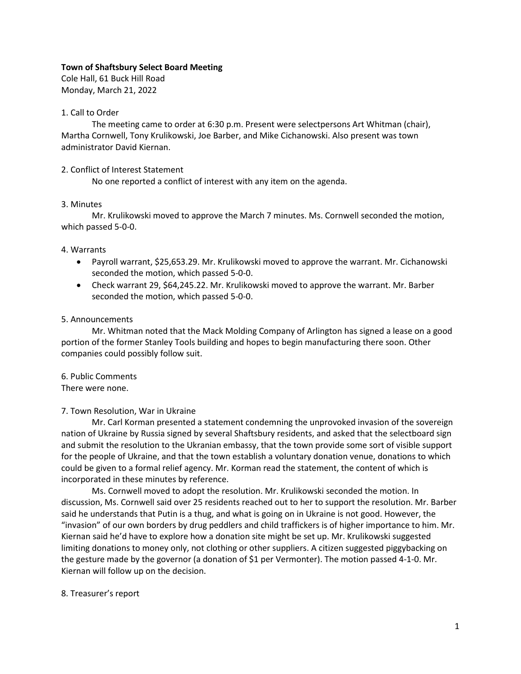## **Town of Shaftsbury Select Board Meeting**

Cole Hall, 61 Buck Hill Road Monday, March 21, 2022

## 1. Call to Order

The meeting came to order at 6:30 p.m. Present were selectpersons Art Whitman (chair), Martha Cornwell, Tony Krulikowski, Joe Barber, and Mike Cichanowski. Also present was town administrator David Kiernan.

## 2. Conflict of Interest Statement

No one reported a conflict of interest with any item on the agenda.

## 3. Minutes

Mr. Krulikowski moved to approve the March 7 minutes. Ms. Cornwell seconded the motion, which passed 5-0-0.

## 4. Warrants

- Payroll warrant, \$25,653.29. Mr. Krulikowski moved to approve the warrant. Mr. Cichanowski seconded the motion, which passed 5-0-0.
- Check warrant 29, \$64,245.22. Mr. Krulikowski moved to approve the warrant. Mr. Barber seconded the motion, which passed 5-0-0.

## 5. Announcements

Mr. Whitman noted that the Mack Molding Company of Arlington has signed a lease on a good portion of the former Stanley Tools building and hopes to begin manufacturing there soon. Other companies could possibly follow suit.

## 6. Public Comments

There were none.

## 7. Town Resolution, War in Ukraine

Mr. Carl Korman presented a statement condemning the unprovoked invasion of the sovereign nation of Ukraine by Russia signed by several Shaftsbury residents, and asked that the selectboard sign and submit the resolution to the Ukranian embassy, that the town provide some sort of visible support for the people of Ukraine, and that the town establish a voluntary donation venue, donations to which could be given to a formal relief agency. Mr. Korman read the statement, the content of which is incorporated in these minutes by reference.

Ms. Cornwell moved to adopt the resolution. Mr. Krulikowski seconded the motion. In discussion, Ms. Cornwell said over 25 residents reached out to her to support the resolution. Mr. Barber said he understands that Putin is a thug, and what is going on in Ukraine is not good. However, the "invasion" of our own borders by drug peddlers and child traffickers is of higher importance to him. Mr. Kiernan said he'd have to explore how a donation site might be set up. Mr. Krulikowski suggested limiting donations to money only, not clothing or other suppliers. A citizen suggested piggybacking on the gesture made by the governor (a donation of \$1 per Vermonter). The motion passed 4-1-0. Mr. Kiernan will follow up on the decision.

### 8. Treasurer's report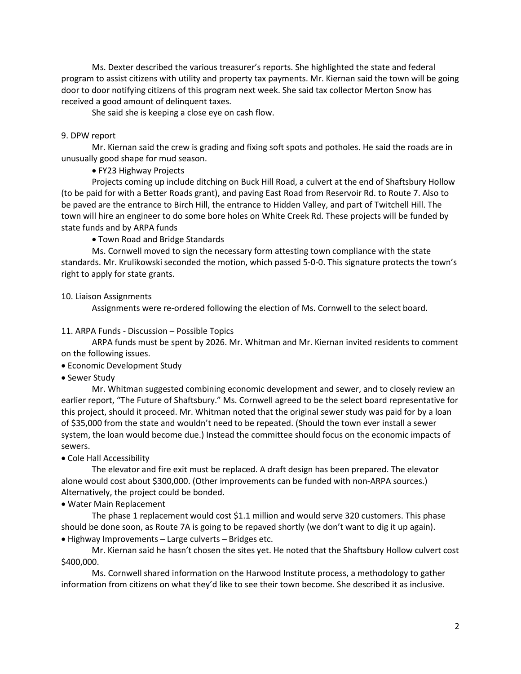Ms. Dexter described the various treasurer's reports. She highlighted the state and federal program to assist citizens with utility and property tax payments. Mr. Kiernan said the town will be going door to door notifying citizens of this program next week. She said tax collector Merton Snow has received a good amount of delinquent taxes.

She said she is keeping a close eye on cash flow.

## 9. DPW report

Mr. Kiernan said the crew is grading and fixing soft spots and potholes. He said the roads are in unusually good shape for mud season.

• FY23 Highway Projects

Projects coming up include ditching on Buck Hill Road, a culvert at the end of Shaftsbury Hollow (to be paid for with a Better Roads grant), and paving East Road from Reservoir Rd. to Route 7. Also to be paved are the entrance to Birch Hill, the entrance to Hidden Valley, and part of Twitchell Hill. The town will hire an engineer to do some bore holes on White Creek Rd. These projects will be funded by state funds and by ARPA funds

• Town Road and Bridge Standards

Ms. Cornwell moved to sign the necessary form attesting town compliance with the state standards. Mr. Krulikowski seconded the motion, which passed 5-0-0. This signature protects the town's right to apply for state grants.

10. Liaison Assignments

Assignments were re-ordered following the election of Ms. Cornwell to the select board.

## 11. ARPA Funds - Discussion – Possible Topics

ARPA funds must be spent by 2026. Mr. Whitman and Mr. Kiernan invited residents to comment on the following issues.

- Economic Development Study
- Sewer Study

Mr. Whitman suggested combining economic development and sewer, and to closely review an earlier report, "The Future of Shaftsbury." Ms. Cornwell agreed to be the select board representative for this project, should it proceed. Mr. Whitman noted that the original sewer study was paid for by a loan of \$35,000 from the state and wouldn't need to be repeated. (Should the town ever install a sewer system, the loan would become due.) Instead the committee should focus on the economic impacts of sewers.

• Cole Hall Accessibility

The elevator and fire exit must be replaced. A draft design has been prepared. The elevator alone would cost about \$300,000. (Other improvements can be funded with non-ARPA sources.) Alternatively, the project could be bonded.

## • Water Main Replacement

The phase 1 replacement would cost \$1.1 million and would serve 320 customers. This phase should be done soon, as Route 7A is going to be repaved shortly (we don't want to dig it up again). • Highway Improvements – Large culverts – Bridges etc.

Mr. Kiernan said he hasn't chosen the sites yet. He noted that the Shaftsbury Hollow culvert cost \$400,000.

Ms. Cornwell shared information on the Harwood Institute process, a methodology to gather information from citizens on what they'd like to see their town become. She described it as inclusive.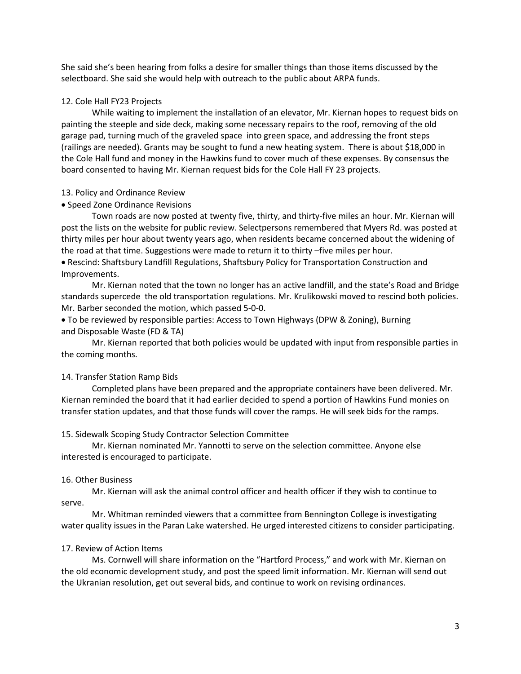She said she's been hearing from folks a desire for smaller things than those items discussed by the selectboard. She said she would help with outreach to the public about ARPA funds.

### 12. Cole Hall FY23 Projects

While waiting to implement the installation of an elevator, Mr. Kiernan hopes to request bids on painting the steeple and side deck, making some necessary repairs to the roof, removing of the old garage pad, turning much of the graveled space into green space, and addressing the front steps (railings are needed). Grants may be sought to fund a new heating system. There is about \$18,000 in the Cole Hall fund and money in the Hawkins fund to cover much of these expenses. By consensus the board consented to having Mr. Kiernan request bids for the Cole Hall FY 23 projects.

#### 13. Policy and Ordinance Review

### • Speed Zone Ordinance Revisions

Town roads are now posted at twenty five, thirty, and thirty-five miles an hour. Mr. Kiernan will post the lists on the website for public review. Selectpersons remembered that Myers Rd. was posted at thirty miles per hour about twenty years ago, when residents became concerned about the widening of the road at that time. Suggestions were made to return it to thirty –five miles per hour.

• Rescind: Shaftsbury Landfill Regulations, Shaftsbury Policy for Transportation Construction and Improvements.

Mr. Kiernan noted that the town no longer has an active landfill, and the state's Road and Bridge standards supercede the old transportation regulations. Mr. Krulikowski moved to rescind both policies. Mr. Barber seconded the motion, which passed 5-0-0.

• To be reviewed by responsible parties: Access to Town Highways (DPW & Zoning), Burning and Disposable Waste (FD & TA)

Mr. Kiernan reported that both policies would be updated with input from responsible parties in the coming months.

#### 14. Transfer Station Ramp Bids

Completed plans have been prepared and the appropriate containers have been delivered. Mr. Kiernan reminded the board that it had earlier decided to spend a portion of Hawkins Fund monies on transfer station updates, and that those funds will cover the ramps. He will seek bids for the ramps.

### 15. Sidewalk Scoping Study Contractor Selection Committee

Mr. Kiernan nominated Mr. Yannotti to serve on the selection committee. Anyone else interested is encouraged to participate.

#### 16. Other Business

Mr. Kiernan will ask the animal control officer and health officer if they wish to continue to serve.

Mr. Whitman reminded viewers that a committee from Bennington College is investigating water quality issues in the Paran Lake watershed. He urged interested citizens to consider participating.

### 17. Review of Action Items

Ms. Cornwell will share information on the "Hartford Process," and work with Mr. Kiernan on the old economic development study, and post the speed limit information. Mr. Kiernan will send out the Ukranian resolution, get out several bids, and continue to work on revising ordinances.